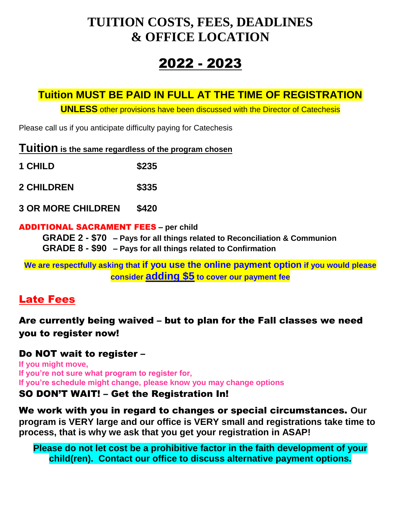# **TUITION COSTS, FEES, DEADLINES & OFFICE LOCATION**

# 2022 - 2023

# **Tuition MUST BE PAID IN FULL AT THE TIME OF REGISTRATION**

**UNLESS** other provisions have been discussed with the Director of Catechesis

Please call us if you anticipate difficulty paying for Catechesis

| Tuition is the same regardless of the program chosen |
|------------------------------------------------------|
|------------------------------------------------------|

| \$235 |
|-------|
|       |

**2 CHILDREN \$335**

**3 OR MORE CHILDREN \$420**

#### ADDITIONAL SACRAMENT FEES **– per child**

**GRADE 2 - \$70 – Pays for all things related to Reconciliation & Communion GRADE 8 - \$90 – Pays for all things related to Confirmation**

**We are respectfully asking that if you use the online payment option if you would please consider adding \$5 to cover our payment fee**

# Late Fees

Are currently being waived – but to plan for the Fall classes we need you to register now!

## Do NOT wait to register –

**If you might move, If you're not sure what program to register for, If you're schedule might change, please know you may change options**

## SO DON'T WAIT! – Get the Registration In!

We work with you in regard to changes or special circumstances. **Our program is VERY large and our office is VERY small and registrations take time to process, that is why we ask that you get your registration in ASAP!**

**Please do not let cost be a prohibitive factor in the faith development of your child(ren). Contact our office to discuss alternative payment options.**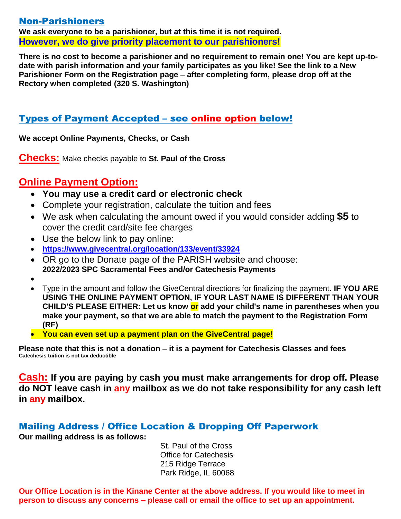#### Non-Parishioners

**We ask everyone to be a parishioner, but at this time it is not required. However, we do give priority placement to our parishioners!**

**There is no cost to become a parishioner and no requirement to remain one! You are kept up-todate with parish information and your family participates as you like! See the link to a New Parishioner Form on the Registration page – after completing form, please drop off at the Rectory when completed (320 S. Washington)**

## Types of Payment Accepted – see online option below!

**We accept Online Payments, Checks, or Cash** 

**Checks:** Make checks payable to **St. Paul of the Cross**

## **Online Payment Option:**

- **You may use a credit card or electronic check**
- Complete your registration, calculate the tuition and fees
- We ask when calculating the amount owed if you would consider adding **\$5** to cover the credit card/site fee charges
- Use the below link to pay online:
- **<https://www.givecentral.org/location/133/event/33924>**
- OR go to the Donate page of the PARISH website and choose: **2022/2023 SPC Sacramental Fees and/or Catechesis Payments**
- $\bullet$
- Type in the amount and follow the GiveCentral directions for finalizing the payment. **IF YOU ARE USING THE ONLINE PAYMENT OPTION, IF YOUR LAST NAME IS DIFFERENT THAN YOUR CHILD'S PLEASE EITHER: Let us know or add your child's name in parentheses when you make your payment, so that we are able to match the payment to the Registration Form (RF)**
- **You can even set up a payment plan on the GiveCentral page!**

**Please note that this is not a donation – it is a payment for Catechesis Classes and fees Catechesis tuition is not tax deductible**

**Cash: If you are paying by cash you must make arrangements for drop off. Please do NOT leave cash in any mailbox as we do not take responsibility for any cash left in any mailbox.** 

## Mailing Address / Office Location & Dropping Off Paperwork

**Our mailing address is as follows:**

St. Paul of the Cross Office for Catechesis 215 Ridge Terrace Park Ridge, IL 60068

**Our Office Location is in the Kinane Center at the above address. If you would like to meet in person to discuss any concerns – please call or email the office to set up an appointment.**